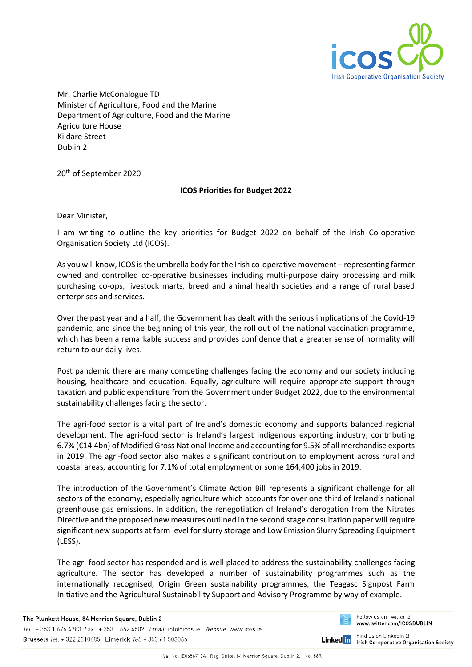

Mr. Charlie McConalogue TD Minister of Agriculture, Food and the Marine Department of Agriculture, Food and the Marine Agriculture House Kildare Street Dublin 2

20 th of September 2020

## **ICOS Priorities for Budget 2022**

Dear Minister,

I am writing to outline the key priorities for Budget 2022 on behalf of the Irish Co-operative Organisation Society Ltd (ICOS).

As you will know, ICOS is the umbrella body for the Irish co-operative movement – representing farmer owned and controlled co-operative businesses including multi-purpose dairy processing and milk purchasing co-ops, livestock marts, breed and animal health societies and a range of rural based enterprises and services.

Over the past year and a half, the Government has dealt with the serious implications of the Covid-19 pandemic, and since the beginning of this year, the roll out of the national vaccination programme, which has been a remarkable success and provides confidence that a greater sense of normality will return to our daily lives.

Post pandemic there are many competing challenges facing the economy and our society including housing, healthcare and education. Equally, agriculture will require appropriate support through taxation and public expenditure from the Government under Budget 2022, due to the environmental sustainability challenges facing the sector.

The agri-food sector is a vital part of Ireland's domestic economy and supports balanced regional development. The agri-food sector is Ireland's largest indigenous exporting industry, contributing 6.7% (€14.4bn) of Modified Gross National Income and accounting for 9.5% of all merchandise exports in 2019. The agri-food sector also makes a significant contribution to employment across rural and coastal areas, accounting for 7.1% of total employment or some 164,400 jobs in 2019.

The introduction of the Government's Climate Action Bill represents a significant challenge for all sectors of the economy, especially agriculture which accounts for over one third of Ireland's national greenhouse gas emissions. In addition, the renegotiation of Ireland's derogation from the Nitrates Directive and the proposed new measures outlined in the second stage consultation paper will require significant new supports at farm level for slurry storage and Low Emission Slurry Spreading Equipment (LESS).

The agri-food sector has responded and is well placed to address the sustainability challenges facing agriculture. The sector has developed a number of sustainability programmes such as the internationally recognised, Origin Green sustainability programmes, the Teagasc Signpost Farm Initiative and the Agricultural Sustainability Support and Advisory Programme by way of example.

Follow us on Twitter @ www.twitter.com/ICOSDUBLIN

Find us on LinkedIn @ **Linked** in **Irish Co-operative Organisation Society**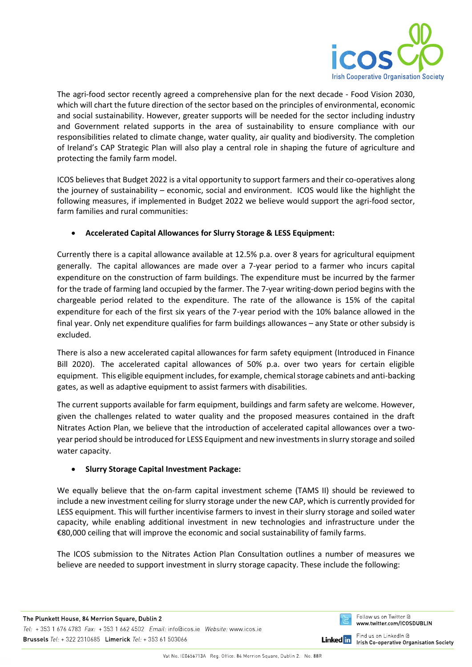

The agri-food sector recently agreed a comprehensive plan for the next decade - Food Vision 2030, which will chart the future direction of the sector based on the principles of environmental, economic and social sustainability. However, greater supports will be needed for the sector including industry and Government related supports in the area of sustainability to ensure compliance with our responsibilities related to climate change, water quality, air quality and biodiversity. The completion of Ireland's CAP Strategic Plan will also play a central role in shaping the future of agriculture and protecting the family farm model.

ICOS believes that Budget 2022 is a vital opportunity to support farmers and their co-operatives along the journey of sustainability – economic, social and environment. ICOS would like the highlight the following measures, if implemented in Budget 2022 we believe would support the agri-food sector, farm families and rural communities:

# • **Accelerated Capital Allowances for Slurry Storage & LESS Equipment:**

Currently there is a capital allowance available at 12.5% p.a. over 8 years for agricultural equipment generally. The capital allowances are made over a 7-year period to a farmer who incurs capital expenditure on the construction of farm buildings. The expenditure must be incurred by the farmer for the trade of farming land occupied by the farmer. The 7-year writing-down period begins with the chargeable period related to the expenditure. The rate of the allowance is 15% of the capital expenditure for each of the first six years of the 7-year period with the 10% balance allowed in the final year. Only net expenditure qualifies for farm buildings allowances – any State or other subsidy is excluded.

There is also a new accelerated capital allowances for farm safety equipment (Introduced in Finance Bill 2020). The accelerated capital allowances of 50% p.a. over two years for certain eligible equipment. This eligible equipment includes, for example, chemical storage cabinets and anti-backing gates, as well as adaptive equipment to assist farmers with disabilities.

The current supports available for farm equipment, buildings and farm safety are welcome. However, given the challenges related to water quality and the proposed measures contained in the draft Nitrates Action Plan, we believe that the introduction of accelerated capital allowances over a twoyear period should be introduced for LESS Equipment and new investments in slurry storage and soiled water capacity.

## • **Slurry Storage Capital Investment Package:**

We equally believe that the on-farm capital investment scheme (TAMS II) should be reviewed to include a new investment ceiling for slurry storage under the new CAP, which is currently provided for LESS equipment. This will further incentivise farmers to invest in their slurry storage and soiled water capacity, while enabling additional investment in new technologies and infrastructure under the €80,000 ceiling that will improve the economic and social sustainability of family farms.

The ICOS submission to the Nitrates Action Plan Consultation outlines a number of measures we believe are needed to support investment in slurry storage capacity. These include the following:



Find us on LinkedIn @ **Linked** in Irish Co-operative Organisation Society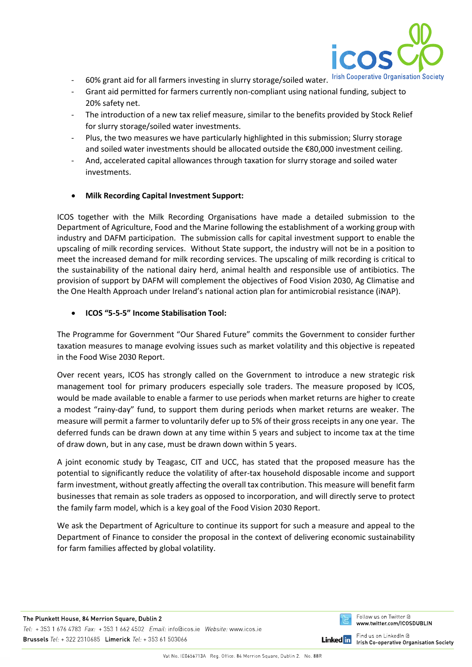

- 60% grant aid for all farmers investing in slurry storage/soiled water. Irish Cooperative Organisation Society
- Grant aid permitted for farmers currently non-compliant using national funding, subject to 20% safety net.
- The introduction of a new tax relief measure, similar to the benefits provided by Stock Relief for slurry storage/soiled water investments.
- Plus, the two measures we have particularly highlighted in this submission; Slurry storage and soiled water investments should be allocated outside the €80,000 investment ceiling.
- And, accelerated capital allowances through taxation for slurry storage and soiled water investments.
- **Milk Recording Capital Investment Support:**

ICOS together with the Milk Recording Organisations have made a detailed submission to the Department of Agriculture, Food and the Marine following the establishment of a working group with industry and DAFM participation. The submission calls for capital investment support to enable the upscaling of milk recording services. Without State support, the industry will not be in a position to meet the increased demand for milk recording services. The upscaling of milk recording is critical to the sustainability of the national dairy herd, animal health and responsible use of antibiotics. The provision of support by DAFM will complement the objectives of Food Vision 2030, Ag Climatise and the One Health Approach under Ireland's national action plan for antimicrobial resistance (iNAP).

### • **ICOS "5-5-5" Income Stabilisation Tool:**

The Programme for Government "Our Shared Future" commits the Government to consider further taxation measures to manage evolving issues such as market volatility and this objective is repeated in the Food Wise 2030 Report.

Over recent years, ICOS has strongly called on the Government to introduce a new strategic risk management tool for primary producers especially sole traders. The measure proposed by ICOS, would be made available to enable a farmer to use periods when market returns are higher to create a modest "rainy-day" fund, to support them during periods when market returns are weaker. The measure will permit a farmer to voluntarily defer up to 5% of their gross receipts in any one year. The deferred funds can be drawn down at any time within 5 years and subject to income tax at the time of draw down, but in any case, must be drawn down within 5 years.

A joint economic study by Teagasc, CIT and UCC, has stated that the proposed measure has the potential to significantly reduce the volatility of after-tax household disposable income and support farm investment, without greatly affecting the overall tax contribution. This measure will benefit farm businesses that remain as sole traders as opposed to incorporation, and will directly serve to protect the family farm model, which is a key goal of the Food Vision 2030 Report.

We ask the Department of Agriculture to continue its support for such a measure and appeal to the Department of Finance to consider the proposal in the context of delivering economic sustainability for farm families affected by global volatility.



**Linked** in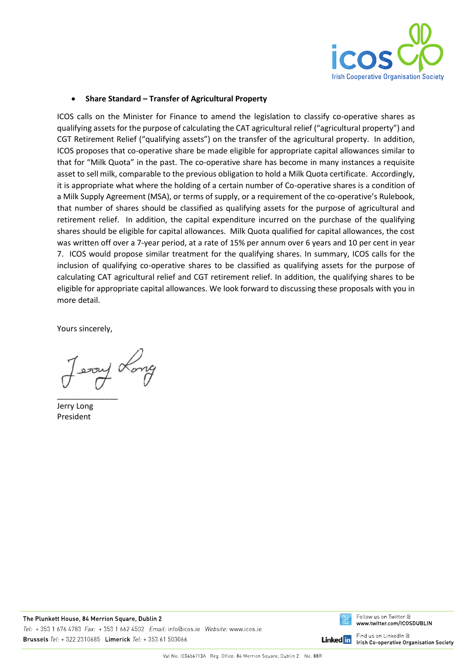

### • **Share Standard – Transfer of Agricultural Property**

ICOS calls on the Minister for Finance to amend the legislation to classify co-operative shares as qualifying assets for the purpose of calculating the CAT agricultural relief ("agricultural property") and CGT Retirement Relief ("qualifying assets") on the transfer of the agricultural property. In addition, ICOS proposes that co-operative share be made eligible for appropriate capital allowances similar to that for "Milk Quota" in the past. The co-operative share has become in many instances a requisite asset to sell milk, comparable to the previous obligation to hold a Milk Quota certificate. Accordingly, it is appropriate what where the holding of a certain number of Co-operative shares is a condition of a Milk Supply Agreement (MSA), or terms of supply, or a requirement of the co-operative's Rulebook, that number of shares should be classified as qualifying assets for the purpose of agricultural and retirement relief. In addition, the capital expenditure incurred on the purchase of the qualifying shares should be eligible for capital allowances. Milk Quota qualified for capital allowances, the cost was written off over a 7-year period, at a rate of 15% per annum over 6 years and 10 per cent in year 7. ICOS would propose similar treatment for the qualifying shares. In summary, ICOS calls for the inclusion of qualifying co-operative shares to be classified as qualifying assets for the purpose of calculating CAT agricultural relief and CGT retirement relief. In addition, the qualifying shares to be eligible for appropriate capital allowances. We look forward to discussing these proposals with you in more detail.

Yours sincerely,

prod pose!

Jerry Long President



**Linked** in

Find us on LinkedIn @ **Irish Co-operative Organisation Society**